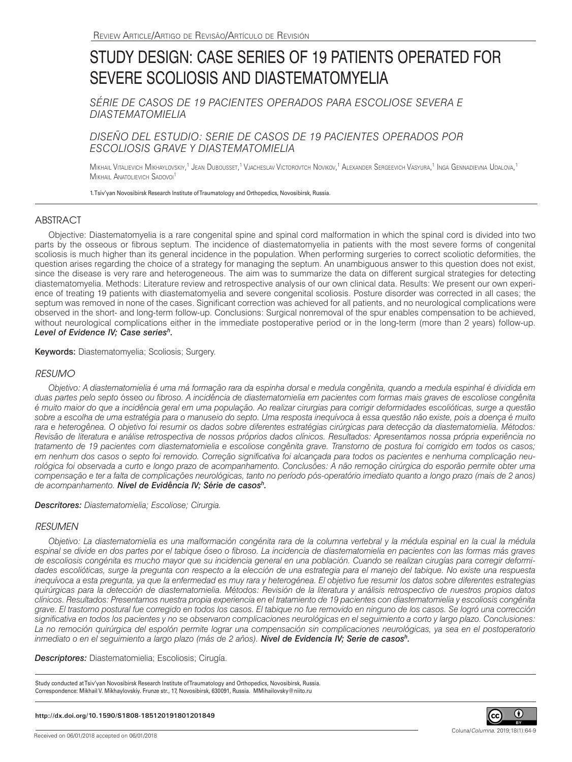# STUDY DESIGN: CASE SERIES OF 19 PATIENTS OPERATED FOR SEVERE SCOLIOSIS AND DIASTEMATOMYELIA

*SÉRIE DE CASOS DE 19 PACIENTES OPERADOS PARA ESCOLIOSE SEVERA E DIASTEMATOMIELIA*

## *DISEÑO DEL ESTUDIO: SERIE DE CASOS DE 19 PACIENTES OPERADOS POR ESCOLIOSIS GRAVE Y DIASTEMATOMIELIA*

Mikhail Vitalievich Mikhaylovskiy,<sup>1</sup> Jean Dubousset,<sup>1</sup> Vjacheslav Victorovtch Novikov,<sup>1</sup> Alexander Sergeevich Vasyura,<sup>1</sup> Inga Gennadievna Udalova,<sup>1</sup> MIKHAIL ANATOLIEVICH SADOVOI<sup>1</sup>

1. Tsiv'yan Novosibirsk Research Institute of Traumatology and Orthopedics, Novosibirsk, Russia.

## ABSTRACT

Objective: Diastematomyelia is a rare congenital spine and spinal cord malformation in which the spinal cord is divided into two parts by the osseous or fibrous septum. The incidence of diastematomyelia in patients with the most severe forms of congenital scoliosis is much higher than its general incidence in the population. When performing surgeries to correct scoliotic deformities, the question arises regarding the choice of a strategy for managing the septum. An unambiguous answer to this question does not exist, since the disease is very rare and heterogeneous. The aim was to summarize the data on different surgical strategies for detecting diastematomyelia. Methods: Literature review and retrospective analysis of our own clinical data. Results: We present our own experience of treating 19 patients with diastematomyelia and severe congenital scoliosis. Posture disorder was corrected in all cases; the septum was removed in none of the cases. Significant correction was achieved for all patients, and no neurological complications were observed in the short- and long-term follow-up. Conclusions: Surgical nonremoval of the spur enables compensation to be achieved, without neurological complications either in the immediate postoperative period or in the long-term (more than 2 years) follow-up. *Level of Evidence IV; Case seriesh.*

Keywords: Diastematomyelia; Scoliosis; Surgery.

## *RESUMO*

*Objetivo: A diastematomielia é uma má formação rara da espinha dorsal e medula congênita, quando a medula espinhal é dividida em duas partes pelo septo* ósseo *ou fibroso. A incidência de diastematomielia em pacientes com formas mais graves de escoliose congênita é muito maior do que a incidência geral em uma população. Ao realizar cirurgias para corrigir deformidades escolióticas, surge a questão sobre a escolha de uma estratégia para o manuseio do septo. Uma resposta inequívoca à essa questão não existe, pois a doença é muito rara e heterogênea. O objetivo foi resumir os dados sobre diferentes estratégias cirúrgicas para detecção da diastematomielia. Métodos: Revisão de literatura e análise retrospectiva de nossos próprios dados clínicos. Resultados: Apresentamos nossa própria experiência no tratamento de 19 pacientes com diastematomielia e escoliose congênita grave. Transtorno de postura foi corrigido em todos os casos; em nenhum dos casos o septo foi removido. Correção significativa foi alcançada para todos os pacientes e nenhuma complicação neurológica foi observada a curto e longo prazo de acompanhamento. Conclusões: A não remoção cirúrgica do esporão permite obter uma compensação e ter a falta de complicações neurológicas, tanto no período pós-operatório imediato quanto a longo prazo (mais de 2 anos) de acompanhamento. Nível de Evidência IV; Série de casosh.*

### *Descritores: Diastematomielia; Escoliose; Cirurgia.*

### *RESUMEN*

*Objetivo: La diastematomielia es una malformación congénita rara de la columna vertebral y la médula espinal en la cual la médula espinal se divide en dos partes por el tabique óseo o fibroso. La incidencia de diastematomielia en pacientes con las formas más graves de escoliosis congénita es mucho mayor que su incidencia general en una población. Cuando se realizan cirugías para corregir deformidades escolióticas, surge la pregunta con respecto a la elección de una estrategia para el manejo del tabique. No existe una respuesta inequívoca a esta pregunta, ya que la enfermedad es muy rara y heterogénea. El objetivo fue resumir los datos sobre diferentes estrategias quirúrgicas para la detección de diastematomielia. Métodos: Revisión de la literatura y análisis retrospectivo de nuestros propios datos clínicos. Resultados: Presentamos nuestra propia experiencia en el tratamiento de 19 pacientes con diastematomielia y escoliosis congénita grave. El trastorno postural fue corregido en todos los casos. El tabique no fue removido en ninguno de los casos. Se logró una corrección significativa en todos los pacientes y no se observaron complicaciones neurológicas en el seguimiento a corto y largo plazo. Conclusiones: La no remoción quirúrgica del espolón permite lograr una compensación sin complicaciones neurológicas, ya sea en el postoperatorio inmediato o en el seguimiento a largo plazo (más de 2 años). Nivel de Evidencia IV; Serie de casosh.*

*Descriptores:* Diastematomielia; Escoliosis; Cirugía.

Study conducted at Tsiv'yan Novosibirsk Research Institute of Traumatology and Orthopedics, Novosibirsk, Russia. Correspondence: Mikhail V. Mikhaylovskiy. Frunze str., 17, Novosibirsk, 630091, Russia. MMihailovsky@niito.ru

#### **http://dx.doi.org/10.1590/S1808-185120191801201849**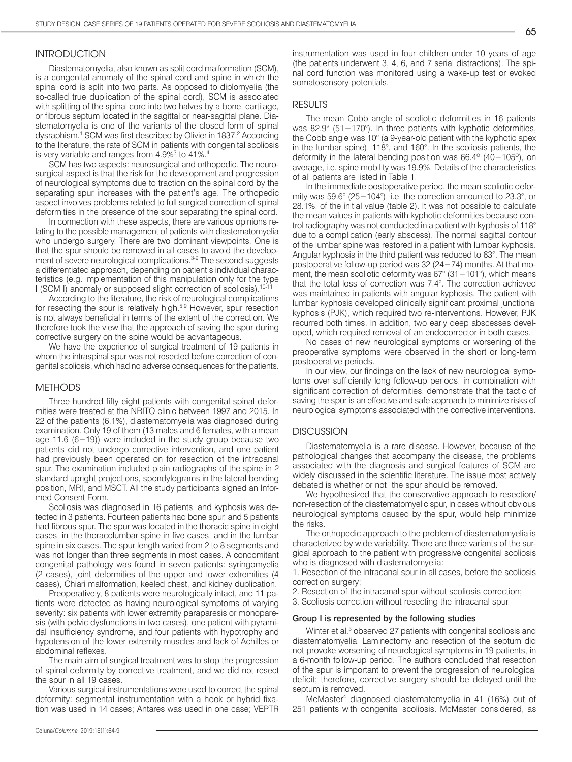## **INTRODUCTION**

Diastematomyelia, also known as split cord malformation (SCM), is a congenital anomaly of the spinal cord and spine in which the spinal cord is split into two parts. As opposed to diplomyelia (the so-called true duplication of the spinal cord), SCM is associated with splitting of the spinal cord into two halves by a bone, cartilage, or fibrous septum located in the sagittal or near-sagittal plane. Diastematomyelia is one of the variants of the closed form of spinal dysraphism.<sup>1</sup> SCM was first described by Olivier in 1837.<sup>2</sup> According to the literature, the rate of SCM in patients with congenital scoliosis is very variable and ranges from 4.9% $3$  to 41%. $4$ 

SCM has two aspects: neurosurgical and orthopedic. The neurosurgical aspect is that the risk for the development and progression of neurological symptoms due to traction on the spinal cord by the separating spur increases with the patient's age. The orthopedic aspect involves problems related to full surgical correction of spinal deformities in the presence of the spur separating the spinal cord.

In connection with these aspects, there are various opinions relating to the possible management of patients with diastematomyelia who undergo surgery. There are two dominant viewpoints. One is that the spur should be removed in all cases to avoid the development of severe neurological complications.<sup>3-9</sup> The second suggests a differentiated approach, depending on patient's individual characteristics (e.g. implementation of this manipulation only for the type I (SCM I) anomaly or supposed slight correction of scoliosis).<sup>10-11</sup>

According to the literature, the risk of neurological complications for resecting the spur is relatively high.<sup>5,9</sup> However, spur resection is not always beneficial in terms of the extent of the correction. We therefore took the view that the approach of saving the spur during corrective surgery on the spine would be advantageous.

We have the experience of surgical treatment of 19 patients in whom the intraspinal spur was not resected before correction of congenital scoliosis, which had no adverse consequences for the patients.

#### **METHODS**

Three hundred fifty eight patients with congenital spinal deformities were treated at the NRITO clinic between 1997 and 2015. In 22 of the patients (6.1%), diastematomyelia was diagnosed during examination. Only 19 of them (13 males and 6 females, with a mean age 11.6 (6−19)) were included in the study group because two patients did not undergo corrective intervention, and one patient had previously been operated on for resection of the intracanal spur. The examination included plain radiographs of the spine in 2 standard upright projections, spondylograms in the lateral bending position, MRI, and MSCT. All the study participants signed an Informed Consent Form.

Scoliosis was diagnosed in 16 patients, and kyphosis was detected in 3 patients. Fourteen patients had bone spur, and 5 patients had fibrous spur. The spur was located in the thoracic spine in eight cases, in the thoracolumbar spine in five cases, and in the lumbar spine in six cases. The spur length varied from 2 to 8 segments and was not longer than three segments in most cases. A concomitant congenital pathology was found in seven patients: syringomyelia (2 cases), joint deformities of the upper and lower extremities (4 cases), Chiari malformation, keeled chest, and kidney duplication.

Preoperatively, 8 patients were neurologically intact, and 11 patients were detected as having neurological symptoms of varying severity: six patients with lower extremity paraparesis or monoparesis (with pelvic dysfunctions in two cases), one patient with pyramidal insufficiency syndrome, and four patients with hypotrophy and hypotension of the lower extremity muscles and lack of Achilles or abdominal reflexes.

The main aim of surgical treatment was to stop the progression of spinal deformity by corrective treatment, and we did not resect the spur in all 19 cases.

Various surgical instrumentations were used to correct the spinal deformity: segmental instrumentation with a hook or hybrid fixation was used in 14 cases; Antares was used in one case; VEPTR instrumentation was used in four children under 10 years of age (the patients underwent 3, 4, 6, and 7 serial distractions). The spinal cord function was monitored using a wake-up test or evoked somatosensory potentials.

#### RESULTS

The mean Cobb angle of scoliotic deformities in 16 patients was 82.9° (51 – 170°). In three patients with kyphotic deformities, the Cobb angle was 10° (a 9-year-old patient with the kyphotic apex in the lumbar spine), 118°, and 160°. In the scoliosis patients, the deformity in the lateral bending position was 66.4º (40−105º), on average, i.e. spine mobility was 19.9%. Details of the characteristics of all patients are listed in Table 1.

In the immediate postoperative period, the mean scoliotic deformity was 59.6° (25−104°), i.e. the correction amounted to 23.3°, or 28.1%, of the initial value (table 2). It was not possible to calculate the mean values in patients with kyphotic deformities because control radiography was not conducted in a patient with kyphosis of 118° due to a complication (early abscess). The normal sagittal contour of the lumbar spine was restored in a patient with lumbar kyphosis. Angular kyphosis in the third patient was reduced to 63°. The mean postoperative follow-up period was 32 (24−74) months. At that moment, the mean scoliotic deformity was 67° (31−101°), which means that the total loss of correction was 7.4°. The correction achieved was maintained in patients with angular kyphosis. The patient with lumbar kyphosis developed clinically significant proximal junctional kyphosis (PJK), which required two re-interventions. However, PJK recurred both times. In addition, two early deep abscesses developed, which required removal of an endocorrector in both cases.

No cases of new neurological symptoms or worsening of the preoperative symptoms were observed in the short or long-term postoperative periods.

In our view, our findings on the lack of new neurological symptoms over sufficiently long follow-up periods, in combination with significant correction of deformities, demonstrate that the tactic of saving the spur is an effective and safe approach to minimize risks of neurological symptoms associated with the corrective interventions.

#### **DISCUSSION**

Diastematomyelia is a rare disease. However, because of the pathological changes that accompany the disease, the problems associated with the diagnosis and surgical features of SCM are widely discussed in the scientific literature. The issue most actively debated is whether or not the spur should be removed.

We hypothesized that the conservative approach to resection/ non-resection of the diastematomyelic spur, in cases without obvious neurological symptoms caused by the spur, would help minimize the risks.

The orthopedic approach to the problem of diastematomyelia is characterized by wide variability. There are three variants of the surgical approach to the patient with progressive congenital scoliosis who is diagnosed with diastematomyelia:

1. Resection of the intracanal spur in all cases, before the scoliosis correction surgery;

2. Resection of the intracanal spur without scoliosis correction;

3. Scoliosis correction without resecting the intracanal spur.

#### Group I is represented by the following studies

Winter et al.<sup>3</sup> observed 27 patients with congenital scoliosis and diastematomyelia. Laminectomy and resection of the septum did not provoke worsening of neurological symptoms in 19 patients, in a 6-month follow-up period. The authors concluded that resection of the spur is important to prevent the progression of neurological deficit; therefore, corrective surgery should be delayed until the septum is removed.

McMaster4 diagnosed diastematomyelia in 41 (16%) out of 251 patients with congenital scoliosis. McMaster considered, as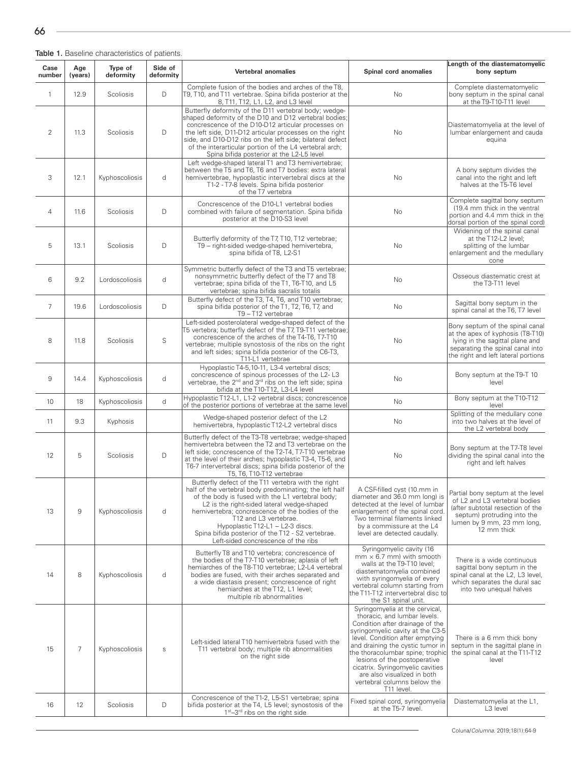Table 1. Baseline characteristics of patients.

| Case<br>number | Age<br>(years) | Type of<br>deformity | Side of<br>deformity | Vertebral anomalies                                                                                                                                                                                                                                                                                                                                                                                                          | Spinal cord anomalies                                                                                                                                                                                                                                                                                                                                                                            | Length of the diastematomyelic<br>bony septum                                                                                                                                     |
|----------------|----------------|----------------------|----------------------|------------------------------------------------------------------------------------------------------------------------------------------------------------------------------------------------------------------------------------------------------------------------------------------------------------------------------------------------------------------------------------------------------------------------------|--------------------------------------------------------------------------------------------------------------------------------------------------------------------------------------------------------------------------------------------------------------------------------------------------------------------------------------------------------------------------------------------------|-----------------------------------------------------------------------------------------------------------------------------------------------------------------------------------|
| $\mathbf{1}$   | 12.9           | Scoliosis            | D                    | Complete fusion of the bodies and arches of the T8,<br>T9, T10, and T11 vertebrae. Spina bifida posterior at the<br>8, T11, T12, L1, L2, and L3 level                                                                                                                                                                                                                                                                        | No                                                                                                                                                                                                                                                                                                                                                                                               | Complete diastematomyelic<br>bony septum in the spinal canal<br>at the T9-T10-T11 level                                                                                           |
| $\overline{2}$ | 11.3           | Scoliosis            | D                    | Butterfly deformity of the D11 vertebral body; wedge-<br>shaped deformity of the D10 and D12 vertebral bodies;<br>concrescence of the D10-D12 articular processes on<br>the left side, D11-D12 articular processes on the right<br>side, and D10-D12 ribs on the left side; bilateral defect<br>of the interarticular portion of the L4 vertebral arch;<br>Spina bifida posterior at the L2-L5 level                         | No                                                                                                                                                                                                                                                                                                                                                                                               | Diastematomyelia at the level of<br>lumbar enlargement and cauda<br>equina                                                                                                        |
| 3              | 12.1           | Kyphoscoliosis       | d                    | Left wedge-shaped lateral T1 and T3 hemivertebrae;<br>between the T5 and T6, T6 and T7 bodies: extra lateral<br>hemivertebrae, hypoplastic intervertebral discs at the<br>T1-2 - T7-8 levels. Spina bifida posterior<br>of the T7 vertebra                                                                                                                                                                                   | No                                                                                                                                                                                                                                                                                                                                                                                               | A bony septum divides the<br>canal into the right and left<br>halves at the T5-T6 level                                                                                           |
| $\overline{4}$ | 11.6           | Scoliosis            | D                    | Concrescence of the D10-L1 vertebral bodies<br>combined with failure of segmentation. Spina bifida<br>posterior at the D10-S3 level                                                                                                                                                                                                                                                                                          | No                                                                                                                                                                                                                                                                                                                                                                                               | Complete sagittal bony septum<br>(19.4 mm thick in the ventral<br>portion and 4.4 mm thick in the<br>dorsal portion of the spinal cord)                                           |
| 5              | 13.1           | Scoliosis            | D                    | Butterfly deformity of the T7, T10, T12 vertebrae;<br>T9 - right-sided wedge-shaped hemivertebra,<br>spina bifida of T8, L2-S1                                                                                                                                                                                                                                                                                               | No                                                                                                                                                                                                                                                                                                                                                                                               | Widening of the spinal canal<br>at the T12-L2 level;<br>splitting of the lumbar<br>enlargement and the medullary<br>cone                                                          |
| 6              | 9.2            | Lordoscoliosis       | d                    | Symmetric butterfly defect of the T3 and T5 vertebrae;<br>nonsymmetric butterfly defect of the T7 and T8<br>vertebrae; spina bifida of the T1, T6-T10, and L5<br>vertebrae; spina bifida sacralis totalis                                                                                                                                                                                                                    | No                                                                                                                                                                                                                                                                                                                                                                                               | Osseous diastematic crest at<br>the T3-T11 level                                                                                                                                  |
| $\overline{7}$ | 19.6           | Lordoscoliosis       | D                    | Butterfly defect of the T3, T4, T6, and T10 vertebrae;<br>spina bifida posterior of the T1, T2, T6, T7, and<br>T9-T12 vertebrae                                                                                                                                                                                                                                                                                              | <b>No</b>                                                                                                                                                                                                                                                                                                                                                                                        | Sagittal bony septum in the<br>spinal canal at the T6, T7 level                                                                                                                   |
| 8              | 11.8           | Scoliosis            | S                    | Left-sided posterolateral wedge-shaped defect of the<br>T5 vertebra; butterfly defect of the T7, T9-T11 vertebrae;<br>concrescence of the arches of the T4-T6, T7-T10<br>vertebrae; multiple synostosis of the ribs on the right<br>and left sides; spina bifida posterior of the C6-T3,<br>T11-L1 vertebrae                                                                                                                 | No                                                                                                                                                                                                                                                                                                                                                                                               | Bony septum of the spinal canal<br>at the apex of kyphosis (T8-T10)<br>lying in the sagittal plane and<br>separating the spinal canal into<br>the right and left lateral portions |
| 9              | 14.4           | Kyphoscoliosis       | d                    | Hypoplastic T4-5, 10-11, L3-4 vertebral discs;<br>concrescence of spinous processes of the L2-L3<br>vertebrae, the 2 <sup>nd</sup> and 3 <sup>rd</sup> ribs on the left side; spina<br>bifida at the T10-T12, L3-L4 level                                                                                                                                                                                                    | <b>No</b>                                                                                                                                                                                                                                                                                                                                                                                        | Bony septum at the T9-T 10<br>level                                                                                                                                               |
| 10             | 18             | Kyphoscoliosis       | d                    | Hypoplastic T12-L1, L1-2 vertebral discs; concrescence<br>of the posterior portions of vertebrae at the same level                                                                                                                                                                                                                                                                                                           | <b>No</b>                                                                                                                                                                                                                                                                                                                                                                                        | Bony septum at the T10-T12<br>level                                                                                                                                               |
| 11             | 9.3            | Kyphosis             |                      | Wedge-shaped posterior defect of the L2<br>hemivertebra, hypoplastic T12-L2 vertebral discs                                                                                                                                                                                                                                                                                                                                  | No                                                                                                                                                                                                                                                                                                                                                                                               | Splitting of the medullary cone<br>into two halves at the level of<br>the L2 vertebral body                                                                                       |
| 12             | 5              | Scoliosis            | D                    | Butterfly defect of the T3-T8 vertebrae; wedge-shaped<br>hemivertebra between the T2 and T3 vertebrae on the<br>left side; concrescence of the T2-T4, T7-T10 vertebrae<br>at the level of their arches; hypoplastic T3-4, T5-6, and<br>T6-7 intervertebral discs; spina bifida posterior of the<br>T5, T6, T10-T12 vertebrae                                                                                                 | No                                                                                                                                                                                                                                                                                                                                                                                               | Bony septum at the T7-T8 level<br>dividing the spinal canal into the<br>right and left halves                                                                                     |
| 13             | 9              | Kyphoscoliosis       | d                    | Butterfly defect of the T11 vertebra with the right<br>half of the vertebral body predominating; the left half<br>of the body is fused with the L1 vertebral body;<br>L2 is the right-sided lateral wedge-shaped<br>hemivertebra: concrescence of the bodies of the<br>T12 and L3 vertebrae.<br>Hypoplastic T12-L1 - L2-3 discs.<br>Spina bifida posterior of the T12 - S2 vertebrae.<br>Left-sided concrescence of the ribs | A CSF-filled cyst (10.mm in<br>diameter and 36.0 mm long) is<br>detected at the level of lumbar<br>enlargement of the spinal cord.<br>Two terminal filaments linked<br>by a commissure at the L4<br>level are detected caudally.                                                                                                                                                                 | Partial bony septum at the level<br>of L2 and L3 vertebral bodies<br>(after subtotal resection of the<br>septum) protruding into the<br>lumen by 9 mm, 23 mm long,<br>12 mm thick |
| 14             | 8              | Kyphoscoliosis       | d                    | Butterfly T8 and T10 vertebra; concrescence of<br>the bodies of the T7-T10 vertebrae; aplasia of left<br>hemiarches of the T8-T10 vertebrae; L2-L4 vertebral<br>bodies are fused, with their arches separated and<br>a wide diastasis present; concrescence of right<br>hemiarches at the T12, L1 level;<br>multiple rib abnormalities                                                                                       | Syringomyelic cavity (16<br>$mm \times 6.7$ mm) with smooth<br>walls at the T9-T10 level:<br>diastematomyelia combined<br>with syringomyelia of every<br>vertebral column starting from<br>the T11-T12 intervertebral disc to<br>the S1 spinal unit.                                                                                                                                             | There is a wide continuous<br>sagittal bony septum in the<br>spinal canal at the L2, L3 level,<br>which separates the dural sac<br>into two unequal halves                        |
| 15             | 7              | Kyphoscoliosis       | $\mathbb S$          | Left-sided lateral T10 hemivertebra fused with the<br>T11 vertebral body; multiple rib abnormalities<br>on the right side                                                                                                                                                                                                                                                                                                    | Syringomyelia at the cervical,<br>thoracic, and lumbar levels.<br>Condition after drainage of the<br>syringomyelic cavity at the C3-5<br>level. Condition after emptying<br>and draining the cystic tumor in<br>the thoracolumbar spine; trophic<br>lesions of the postoperative<br>cicatrix. Syringomyelic cavities<br>are also visualized in both<br>vertebral columns below the<br>T11 level. | There is a 6 mm thick bony<br>septum in the sagittal plane in<br>the spinal canal at the T11-T12<br>level                                                                         |
| 16             | 12             | Scoliosis            | D                    | Concrescence of the T1-2, L5-S1 vertebrae; spina<br>bifida posterior at the T4, L5 level; synostosis of the<br>$1st-3rd$ ribs on the right side                                                                                                                                                                                                                                                                              | Fixed spinal cord, syringomyelia<br>at the T5-7 level.                                                                                                                                                                                                                                                                                                                                           | Diastematomyelia at the L1,<br>L3 level                                                                                                                                           |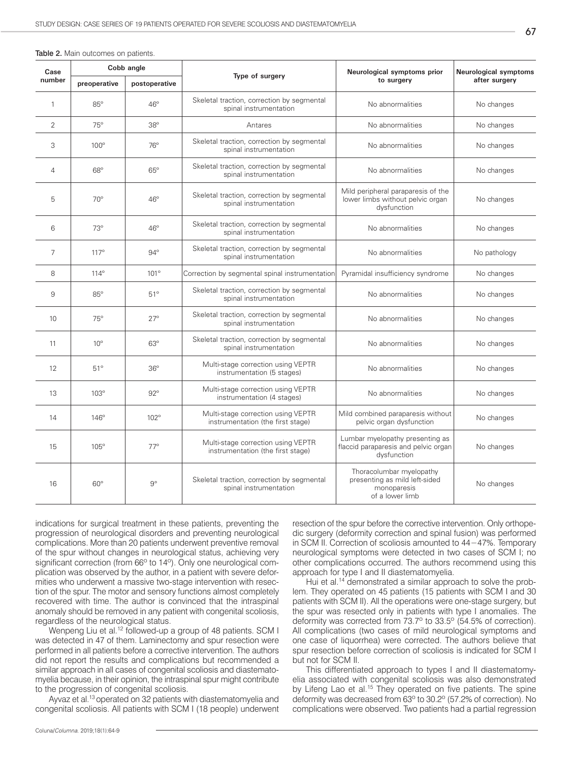| I<br>×<br>۰.<br>v<br>M. |  |
|-------------------------|--|

| <b>Table 2.</b> Main outcomes on patients. |  |
|--------------------------------------------|--|
|--------------------------------------------|--|

| Case<br>number |              | Cobb angle    |                                                                         | Neurological symptoms prior                                                                 | <b>Neurological symptoms</b><br>after surgery |
|----------------|--------------|---------------|-------------------------------------------------------------------------|---------------------------------------------------------------------------------------------|-----------------------------------------------|
|                | preoperative | postoperative | Type of surgery                                                         | to surgery                                                                                  |                                               |
| 1              | $85^\circ$   | $46^\circ$    | Skeletal traction, correction by segmental<br>spinal instrumentation    | No abnormalities                                                                            | No changes                                    |
| $\overline{2}$ | $75^\circ$   | $38^\circ$    | Antares                                                                 | No abnormalities                                                                            | No changes                                    |
| 3              | $100^\circ$  | $76^\circ$    | Skeletal traction, correction by segmental<br>spinal instrumentation    | No abnormalities                                                                            | No changes                                    |
| 4              | $68^\circ$   | $65^\circ$    | Skeletal traction, correction by segmental<br>spinal instrumentation    | No abnormalities                                                                            | No changes                                    |
| 5              | $70^\circ$   | $46^\circ$    | Skeletal traction, correction by segmental<br>spinal instrumentation    | Mild peripheral paraparesis of the<br>lower limbs without pelvic organ<br>dysfunction       | No changes                                    |
| 6              | $73^\circ$   | $46^\circ$    | Skeletal traction, correction by segmental<br>spinal instrumentation    | No abnormalities                                                                            | No changes                                    |
| 7              | $117^\circ$  | $94^\circ$    | Skeletal traction, correction by segmental<br>spinal instrumentation    | No abnormalities                                                                            | No pathology                                  |
| 8              | $114^\circ$  | $101^\circ$   | Correction by segmental spinal instrumentation                          | Pyramidal insufficiency syndrome                                                            | No changes                                    |
| 9              | $85^\circ$   | $51^\circ$    | Skeletal traction, correction by segmental<br>spinal instrumentation    | No abnormalities                                                                            | No changes                                    |
| 10             | $75^\circ$   | $27^\circ$    | Skeletal traction, correction by segmental<br>spinal instrumentation    | No abnormalities                                                                            | No changes                                    |
| 11             | $10^{\circ}$ | $63^\circ$    | Skeletal traction, correction by segmental<br>spinal instrumentation    | No abnormalities                                                                            | No changes                                    |
| 12             | $51^\circ$   | $36^\circ$    | Multi-stage correction using VEPTR<br>instrumentation (5 stages)        | No abnormalities                                                                            | No changes                                    |
| 13             | $103^\circ$  | $92^\circ$    | Multi-stage correction using VEPTR<br>instrumentation (4 stages)        | No abnormalities                                                                            | No changes                                    |
| 14             | $146^\circ$  | $102^\circ$   | Multi-stage correction using VEPTR<br>instrumentation (the first stage) | Mild combined paraparesis without<br>pelvic organ dysfunction                               | No changes                                    |
| 15             | $105^\circ$  | $77^\circ$    | Multi-stage correction using VEPTR<br>instrumentation (the first stage) | Lumbar myelopathy presenting as<br>flaccid paraparesis and pelvic organ<br>dysfunction      | No changes                                    |
| 16             | $60^\circ$   | $9^\circ$     | Skeletal traction, correction by segmental<br>spinal instrumentation    | Thoracolumbar myelopathy<br>presenting as mild left-sided<br>monoparesis<br>of a lower limb | No changes                                    |

indications for surgical treatment in these patients, preventing the progression of neurological disorders and preventing neurological complications. More than 20 patients underwent preventive removal of the spur without changes in neurological status, achieving very significant correction (from 66° to 14°). Only one neurological complication was observed by the author, in a patient with severe deformities who underwent a massive two-stage intervention with resection of the spur. The motor and sensory functions almost completely recovered with time. The author is convinced that the intraspinal anomaly should be removed in any patient with congenital scoliosis, regardless of the neurological status.

Wenpeng Liu et al.12 followed-up a group of 48 patients. SCM I was detected in 47 of them. Laminectomy and spur resection were performed in all patients before a corrective intervention. The authors did not report the results and complications but recommended a similar approach in all cases of congenital scoliosis and diastematomyelia because, in their opinion, the intraspinal spur might contribute to the progression of congenital scoliosis.

Ayvaz et al.<sup>13</sup> operated on 32 patients with diastematomyelia and congenital scoliosis. All patients with SCM I (18 people) underwent resection of the spur before the corrective intervention. Only orthopedic surgery (deformity correction and spinal fusion) was performed in SCM II. Correction of scoliosis amounted to 44−47%. Temporary neurological symptoms were detected in two cases of SCM I; no other complications occurred. The authors recommend using this approach for type I and II diastematomyelia.

Hui et al.<sup>14</sup> demonstrated a similar approach to solve the problem. They operated on 45 patients (15 patients with SCM I and 30 patients with SCM II). All the operations were one-stage surgery, but the spur was resected only in patients with type I anomalies. The deformity was corrected from 73.7º to 33.5º (54.5% of correction). All complications (two cases of mild neurological symptoms and one case of liquorrhea) were corrected. The authors believe that spur resection before correction of scoliosis is indicated for SCM I but not for SCM II.

This differentiated approach to types I and II diastematomyelia associated with congenital scoliosis was also demonstrated by Lifeng Lao et al.<sup>15</sup> They operated on five patients. The spine deformity was decreased from 63º to 30.2º (57.2% of correction). No complications were observed. Two patients had a partial regression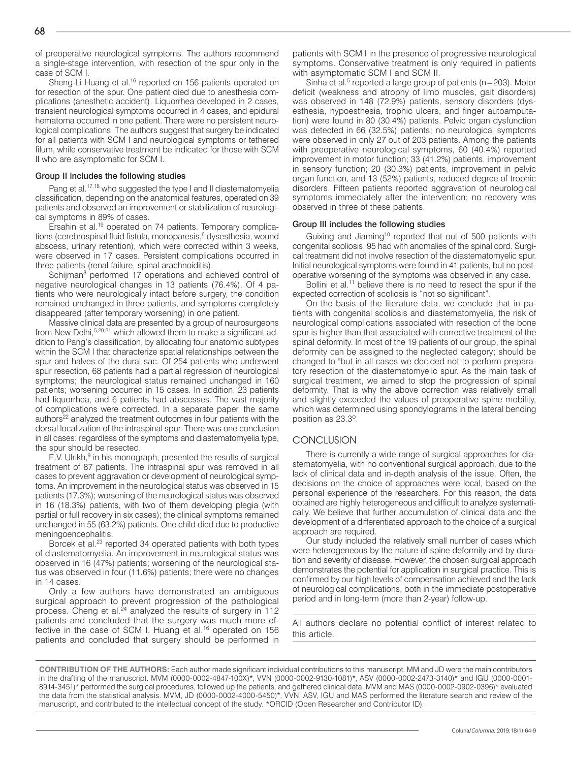of preoperative neurological symptoms. The authors recommend a single-stage intervention, with resection of the spur only in the case of SCM I.

Sheng-Li Huang et al.<sup>16</sup> reported on 156 patients operated on for resection of the spur. One patient died due to anesthesia complications (anesthetic accident). Liquorrhea developed in 2 cases, transient neurological symptoms occurred in 4 cases, and epidural hematoma occurred in one patient. There were no persistent neurological complications. The authors suggest that surgery be indicated for all patients with SCM I and neurological symptoms or tethered filum, while conservative treatment be indicated for those with SCM II who are asymptomatic for SCM I.

#### Group II includes the following studies

Pang et al.<sup>17,18</sup> who suggested the type I and II diastematomyelia classification, depending on the anatomical features, operated on 39 patients and observed an improvement or stabilization of neurological symptoms in 89% of cases.

Ersahin et al.19 operated on 74 patients. Temporary complications (cerebrospinal fluid fistula, monoparesis,<sup>6</sup> dysesthesia, wound abscess, urinary retention), which were corrected within 3 weeks, were observed in 17 cases. Persistent complications occurred in three patients (renal failure, spinal arachnoiditis).

Schijman<sup>8</sup> performed 17 operations and achieved control of negative neurological changes in 13 patients (76.4%). Of 4 patients who were neurologically intact before surgery, the condition remained unchanged in three patients, and symptoms completely disappeared (after temporary worsening) in one patient.

Massive clinical data are presented by a group of neurosurgeons from New Delhi,5,20,21 which allowed them to make a significant addition to Pang's classification, by allocating four anatomic subtypes within the SCM I that characterize spatial relationships between the spur and halves of the dural sac. Of 254 patients who underwent spur resection, 68 patients had a partial regression of neurological symptoms; the neurological status remained unchanged in 160 patients; worsening occurred in 15 cases. In addition, 23 patients had liquorrhea, and 6 patients had abscesses. The vast majority of complications were corrected. In a separate paper, the same authors<sup>22</sup> analyzed the treatment outcomes in four patients with the dorsal localization of the intraspinal spur. There was one conclusion in all cases: regardless of the symptoms and diastematomyelia type, the spur should be resected.

E.V. Ulrikh,<sup>9</sup> in his monograph, presented the results of surgical treatment of 87 patients. The intraspinal spur was removed in all cases to prevent aggravation or development of neurological symptoms. An improvement in the neurological status was observed in 15 patients (17.3%); worsening of the neurological status was observed in 16 (18.3%) patients, with two of them developing plegia (with partial or full recovery in six cases); the clinical symptoms remained unchanged in 55 (63.2%) patients. One child died due to productive meningoencephalitis.

Borcek et al.<sup>23</sup> reported 34 operated patients with both types of diastematomyelia. An improvement in neurological status was observed in 16 (47%) patients; worsening of the neurological status was observed in four (11.6%) patients; there were no changes in 14 cases.

Only a few authors have demonstrated an ambiguous surgical approach to prevent progression of the pathological process. Cheng et al.<sup>24</sup> analyzed the results of surgery in 112 patients and concluded that the surgery was much more effective in the case of SCM I. Huang et al.<sup>16</sup> operated on 156 patients and concluded that surgery should be performed in

patients with SCM I in the presence of progressive neurological symptoms. Conservative treatment is only required in patients with asymptomatic SCM I and SCM II.

Sinha et al.<sup>5</sup> reported a large group of patients (n=203). Motor deficit (weakness and atrophy of limb muscles, gait disorders) was observed in 148 (72.9%) patients, sensory disorders (dysesthesia, hypoesthesia, trophic ulcers, and finger autoamputation) were found in 80 (30.4%) patients. Pelvic organ dysfunction was detected in 66 (32.5%) patients; no neurological symptoms were observed in only 27 out of 203 patients. Among the patients with preoperative neurological symptoms, 60 (40.4%) reported improvement in motor function; 33 (41.2%) patients, improvement in sensory function; 20 (30.3%) patients, improvement in pelvic organ function, and 13 (52%) patients, reduced degree of trophic disorders. Fifteen patients reported aggravation of neurological symptoms immediately after the intervention; no recovery was observed in three of these patients.

#### Group III includes the following studies

Guixing and Jiaming10 reported that out of 500 patients with congenital scoliosis, 95 had with anomalies of the spinal cord. Surgical treatment did not involve resection of the diastematomyelic spur. Initial neurological symptoms were found in 41 patients, but no postoperative worsening of the symptoms was observed in any case.

Bollini et al.<sup>11</sup> believe there is no need to resect the spur if the expected correction of scoliosis is "not so significant".

On the basis of the literature data, we conclude that in patients with congenital scoliosis and diastematomyelia, the risk of neurological complications associated with resection of the bone spur is higher than that associated with corrective treatment of the spinal deformity. In most of the 19 patients of our group, the spinal deformity can be assigned to the neglected category; should be changed to "but in all cases we decided not to perform preparatory resection of the diastematomyelic spur. As the main task of surgical treatment, we aimed to stop the progression of spinal deformity. That is why the above correction was relatively small and slightly exceeded the values of preoperative spine mobility, which was determined using spondylograms in the lateral bending position as 23.3º.

#### **CONCLUSION**

There is currently a wide range of surgical approaches for diastematomyelia, with no conventional surgical approach, due to the lack of clinical data and in-depth analysis of the issue. Often, the decisions on the choice of approaches were local, based on the personal experience of the researchers. For this reason, the data obtained are highly heterogeneous and difficult to analyze systematically. We believe that further accumulation of clinical data and the development of a differentiated approach to the choice of a surgical approach are required.

Our study included the relatively small number of cases which were heterogeneous by the nature of spine deformity and by duration and severity of disease. However, the chosen surgical approach demonstrates the potential for application in surgical practice. This is confirmed by our high levels of compensation achieved and the lack of neurological complications, both in the immediate postoperative period and in long-term (more than 2-year) follow-up.

All authors declare no potential conflict of interest related to this article.

**CONTRIBUTION OF THE AUTHORS:** Each author made significant individual contributions to this manuscript. MM and JD were the main contributors in the drafting of the manuscript. MVM (0000-0002-4847-100X)\*, VVN (0000-0002-9130-1081)\*, ASV (0000-0002-2473-3140)\* and IGU (0000-0001- 8914-3451)\* performed the surgical procedures, followed up the patients, and gathered clinical data. MVM and MAS (0000-0002-0902-0396)\* evaluated the data from the statistical analysis. MVM, JD (0000-0002-4000-5450)\*, VVN, ASV, IGU and MAS performed the literature search and review of the manuscript, and contributed to the intellectual concept of the study. \*ORCID (Open Researcher and Contributor ID).